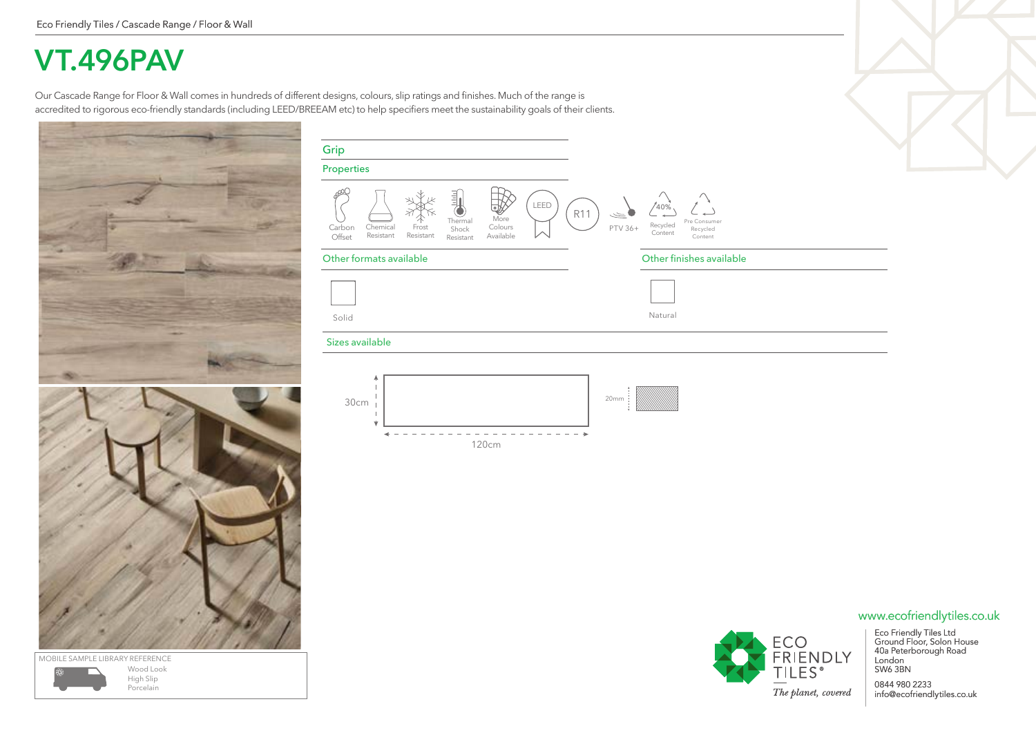## **VT.496PAV**

Our Cascade Range for Floor & Wall comes in hundreds of different designs, colours, slip ratings and finishes. Much of the range is accredited to rigorous eco-friendly standards (including LEED/BREEAM etc) to help specifiers meet the sustainability goals of their clients.







| Grip<br>Properties |                       |                    |                                              |                                   |      |                |         |                            |                                     |
|--------------------|-----------------------|--------------------|----------------------------------------------|-----------------------------------|------|----------------|---------|----------------------------|-------------------------------------|
|                    |                       |                    |                                              |                                   |      |                |         |                            |                                     |
| Carbon<br>Offset   | Chemical<br>Resistant | Frost<br>Resistant | -<br>Ξ<br>Ξ<br>Thermal<br>Shock<br>Resistant | ☜<br>More<br>Colours<br>Available | LEED | R <sub>1</sub> | PTV 36+ | 40%<br>Recycled<br>Content | Pre Consumer<br>Recycled<br>Content |

### Other formats available **Other finishes available** Other finishes available

| $\mathbf{1}$ |         |
|--------------|---------|
| Solid        | Natural |

### Sizes available





## www.ecofriendlytiles.co.uk



Eco Friendly Tiles Ltd Ground Floor, Solon House 40a Peterborough Road London SW6 3BN

0844 980 2233 info@ecofriendlytiles.co.uk